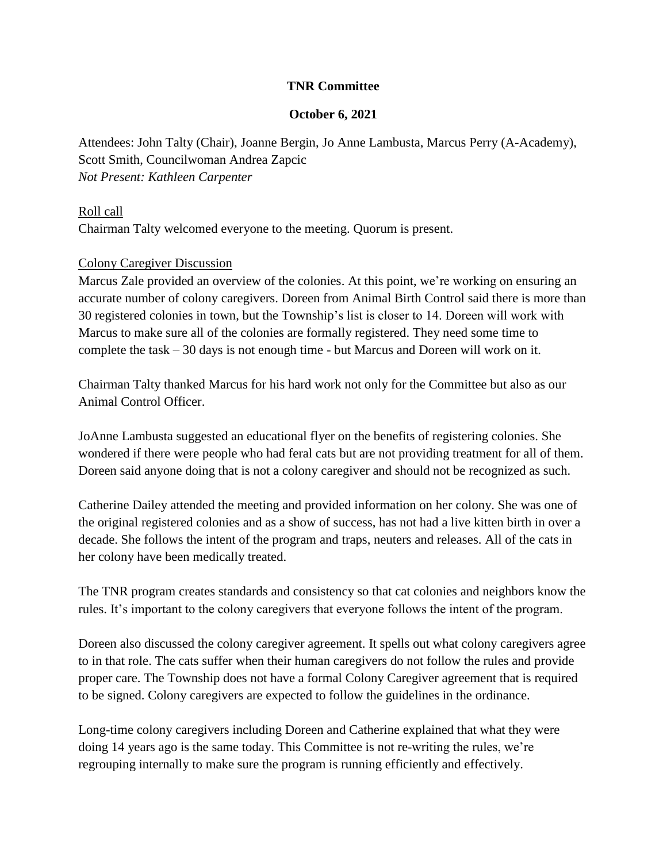### **TNR Committee**

#### **October 6, 2021**

Attendees: John Talty (Chair), Joanne Bergin, Jo Anne Lambusta, Marcus Perry (A-Academy), Scott Smith, Councilwoman Andrea Zapcic *Not Present: Kathleen Carpenter*

# Roll call Chairman Talty welcomed everyone to the meeting. Quorum is present.

### Colony Caregiver Discussion

Marcus Zale provided an overview of the colonies. At this point, we're working on ensuring an accurate number of colony caregivers. Doreen from Animal Birth Control said there is more than 30 registered colonies in town, but the Township's list is closer to 14. Doreen will work with Marcus to make sure all of the colonies are formally registered. They need some time to complete the task – 30 days is not enough time - but Marcus and Doreen will work on it.

Chairman Talty thanked Marcus for his hard work not only for the Committee but also as our Animal Control Officer.

JoAnne Lambusta suggested an educational flyer on the benefits of registering colonies. She wondered if there were people who had feral cats but are not providing treatment for all of them. Doreen said anyone doing that is not a colony caregiver and should not be recognized as such.

Catherine Dailey attended the meeting and provided information on her colony. She was one of the original registered colonies and as a show of success, has not had a live kitten birth in over a decade. She follows the intent of the program and traps, neuters and releases. All of the cats in her colony have been medically treated.

The TNR program creates standards and consistency so that cat colonies and neighbors know the rules. It's important to the colony caregivers that everyone follows the intent of the program.

Doreen also discussed the colony caregiver agreement. It spells out what colony caregivers agree to in that role. The cats suffer when their human caregivers do not follow the rules and provide proper care. The Township does not have a formal Colony Caregiver agreement that is required to be signed. Colony caregivers are expected to follow the guidelines in the ordinance.

Long-time colony caregivers including Doreen and Catherine explained that what they were doing 14 years ago is the same today. This Committee is not re-writing the rules, we're regrouping internally to make sure the program is running efficiently and effectively.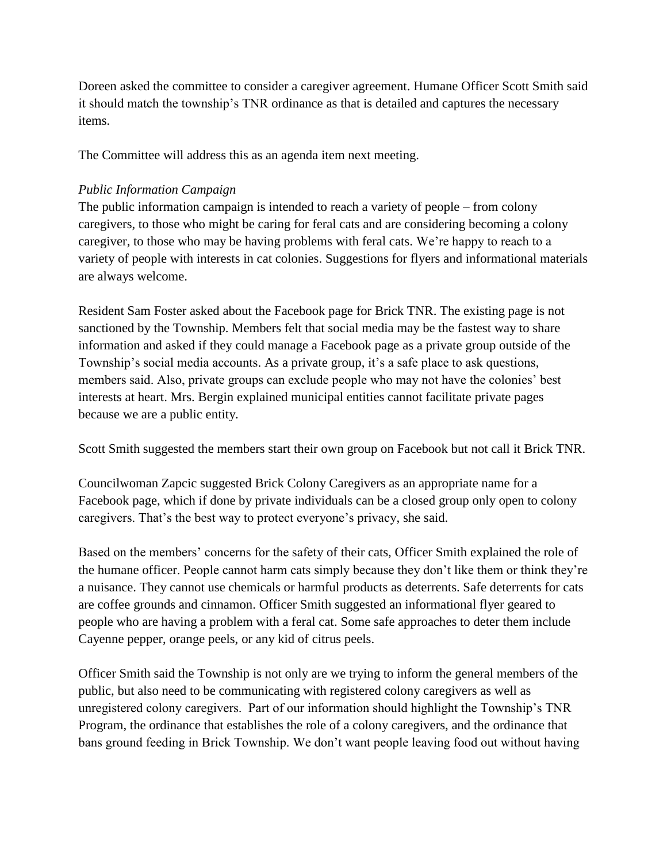Doreen asked the committee to consider a caregiver agreement. Humane Officer Scott Smith said it should match the township's TNR ordinance as that is detailed and captures the necessary items.

The Committee will address this as an agenda item next meeting.

# *Public Information Campaign*

The public information campaign is intended to reach a variety of people – from colony caregivers, to those who might be caring for feral cats and are considering becoming a colony caregiver, to those who may be having problems with feral cats. We're happy to reach to a variety of people with interests in cat colonies. Suggestions for flyers and informational materials are always welcome.

Resident Sam Foster asked about the Facebook page for Brick TNR. The existing page is not sanctioned by the Township. Members felt that social media may be the fastest way to share information and asked if they could manage a Facebook page as a private group outside of the Township's social media accounts. As a private group, it's a safe place to ask questions, members said. Also, private groups can exclude people who may not have the colonies' best interests at heart. Mrs. Bergin explained municipal entities cannot facilitate private pages because we are a public entity.

Scott Smith suggested the members start their own group on Facebook but not call it Brick TNR.

Councilwoman Zapcic suggested Brick Colony Caregivers as an appropriate name for a Facebook page, which if done by private individuals can be a closed group only open to colony caregivers. That's the best way to protect everyone's privacy, she said.

Based on the members' concerns for the safety of their cats, Officer Smith explained the role of the humane officer. People cannot harm cats simply because they don't like them or think they're a nuisance. They cannot use chemicals or harmful products as deterrents. Safe deterrents for cats are coffee grounds and cinnamon. Officer Smith suggested an informational flyer geared to people who are having a problem with a feral cat. Some safe approaches to deter them include Cayenne pepper, orange peels, or any kid of citrus peels.

Officer Smith said the Township is not only are we trying to inform the general members of the public, but also need to be communicating with registered colony caregivers as well as unregistered colony caregivers. Part of our information should highlight the Township's TNR Program, the ordinance that establishes the role of a colony caregivers, and the ordinance that bans ground feeding in Brick Township. We don't want people leaving food out without having